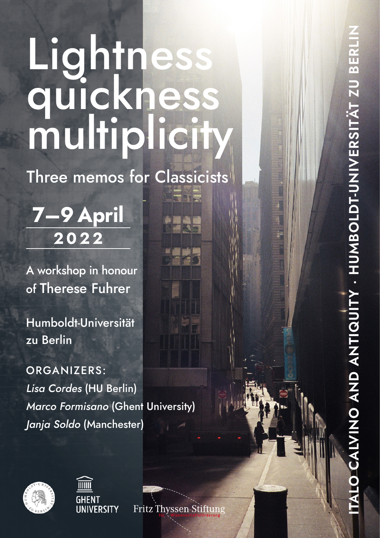# Lightness quickness multiplicity

Three memos for Classicists

**7–9 April 2022**

A workshop in honour of Therese Fuhrer

Humboldt-Universität zu Berlin

ORGANIZERS: *Lisa Cordes* (HU Berlin) *Marco Formisano* (Ghent University) *Janja Soldo* (Manchester)





Fritz Thyssen Stiftung